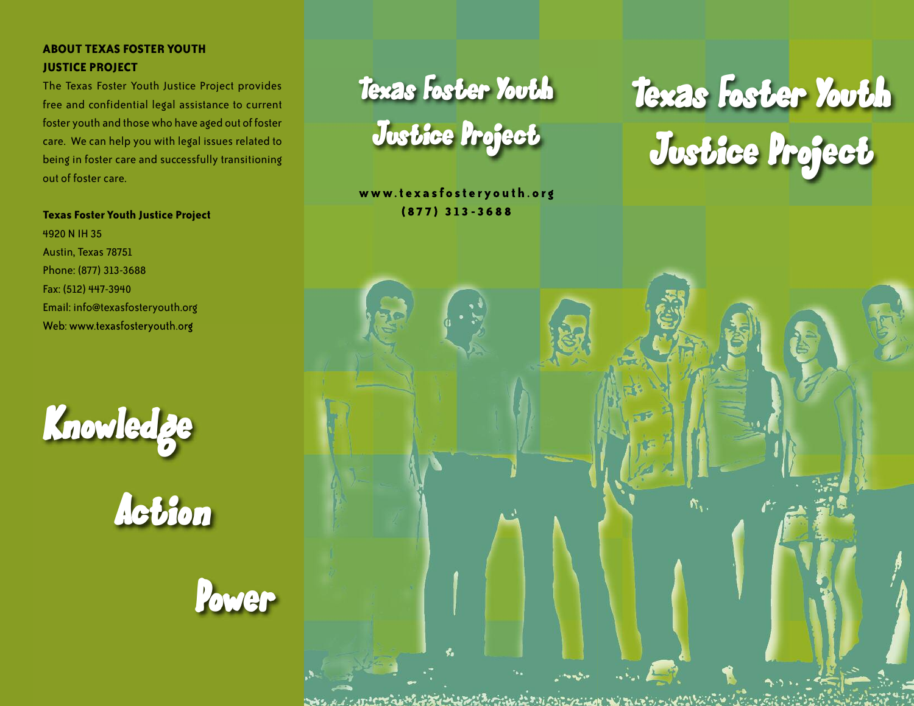# **ABOUT TEXAS FOSTER YOUTH JUSTICE PROJECT**

The Texas Foster Youth Justice Project provides free and confidential legal assistance to current foster youth and thosewho have aged out of foster care. We can help you with legal issues related to being in foster care and successfully transitioning out of foster care.

### **Texas Foster Youth Justice Project**

4920 N IH 35 Austin, Texas 78751 Phone: (877) 313-3688 Fax: (512) 447-3940 Email: info@texasfosteryouth.org Web: www.texasfosteryouth.org



Action



Texas Foster Youth Justice Project

**w w w. t e x a s f o s t e r y o u t h . o r g ( 87 7 ) 313 -36 8 8**

# Texas Foster Youth Justice Project